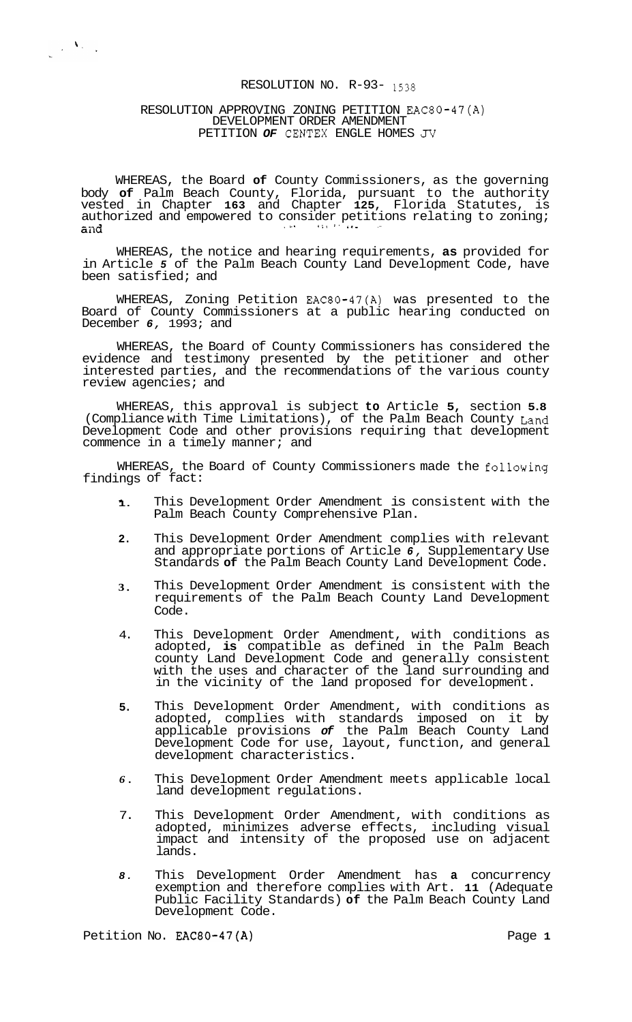# RESOLUTION NO. R-93- 1538

## RESOLUTION APPROVING ZONING PETITION EAC80-47(A) DEVELOPMENT ORDER AMENDMENT PETITION *OF* CENTEX ENGLE HOMES *JV*

 $\frac{1}{\sqrt{2}}\sum_{i=1}^{n} \frac{1}{\sqrt{2}}\sum_{i=1}^{n} \frac{1}{\sqrt{2}}\sum_{i=1}^{n} \frac{1}{\sqrt{2}}\sum_{i=1}^{n} \frac{1}{\sqrt{2}}\sum_{i=1}^{n} \frac{1}{\sqrt{2}}\sum_{i=1}^{n} \frac{1}{\sqrt{2}}\sum_{i=1}^{n} \frac{1}{\sqrt{2}}\sum_{i=1}^{n} \frac{1}{\sqrt{2}}\sum_{i=1}^{n} \frac{1}{\sqrt{2}}\sum_{i=1}^{n} \frac{1}{\sqrt{2}}\sum_{i=1}^{n}$ 

WHEREAS, the Board **of** County Commissioners, as the governing body **of** Palm Beach County, Florida, pursuant to the authority vested in Chapter **163** and Chapter **125,** Florida Statutes, is authorized and empowered to consider petitions relating to zoning;<br>and

WHEREAS, the notice and hearing requirements, **as** provided for in Article *5* of the Palm Beach County Land Development Code, have been satisfied; and

WHEREAS, Zoning Petition EAC80-47(A) was presented to the Board of County Commissioners at a public hearing conducted on December *6,* 1993; and

WHEREAS, the Board of County Commissioners has considered the evidence and testimony presented by the petitioner and other interested parties, and the recommendations of the various county review agencies; and

WHEREAS, this approval is subject **to** Article **5,** section **5.8**  (Compliance with Time Limitations), of the Palm Beach County Land Development Code and other provisions requiring that development commence in a timely manner; and

WHEREAS, the Board of County Commissioners made the following findings of fact:

- **1.**  This Development Order Amendment is consistent with the Palm Beach County Comprehensive Plan.
- **2.**  This Development Order Amendment complies with relevant and appropriate portions of Article *6,* Supplementary Use Standards **of** the Palm Beach County Land Development Code.
- **3.**  This Development Order Amendment is consistent with the requirements of the Palm Beach County Land Development Code.
- 4. This Development Order Amendment, with conditions as adopted, **is** compatible as defined in the Palm Beach county Land Development Code and generally consistent with the uses and character of the land surrounding and in the vicinity of the land proposed for development.
- **5.**  This Development Order Amendment, with conditions as adopted, complies with standards imposed on it by applicable provisions *of* the Palm Beach County Land Development Code for use, layout, function, and general development characteristics.
- *6.*  This Development Order Amendment meets applicable local land development regulations.
- 7. This Development Order Amendment, with conditions as adopted, minimizes adverse effects, including visual impact and intensity of the proposed use on adjacent lands.
- *8.*  This Development Order Amendment has **a** concurrency exemption and therefore complies with Art. **11** (Adequate Public Facility Standards) **of** the Palm Beach County Land Development Code.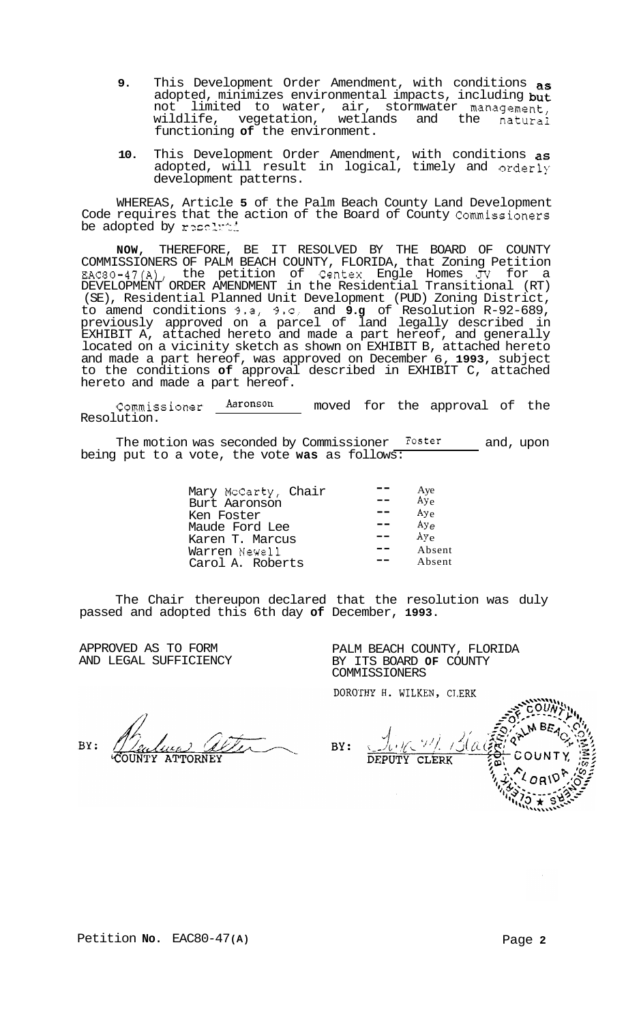- **9.** This Development Order Amendment, with conditions as adopted, minimizes environmental impacts, including  $\frac{1}{2}$  not limited to water, air, stormwater management not limited to water, air, stormwater management, wildlife, vegetation, wetlands and the natural functioning **of** the environment.
- **10.** This Development Order Amendment, with conditions as adopted, will result in logical, timely and orderly development patterns.

WHEREAS, Article **5** of the Palm Beach County Land Development Code requires that the action of the Board of County Commissioners be adopted by resoluti

**NOW,** THEREFORE, BE IT RESOLVED BY THE BOARD OF COUNTY COMMISSIONERS OF PALM BEACH COUNTY, FLORIDA, that Zoning Petition EAC80-47(A), the petition of Centex Engle Homes *JV* for a DEVELOPMENT ORDER AMENDMENT in the Residential Transitional (RT) (SE), Residential Planned Unit Development (PUD) Zoning District, to amend conditions 9.a, 9.c, and **9.g** of Resolution R-92-689, previously approved on a parcel of land legally described in EXHIBIT A, attached hereto and made a part hereof, and generally located on a vicinity sketch as shown on EXHIBIT B, attached hereto and made a part hereof, was approved on December 6, **1993,** subject to the conditions **of** approval described in EXHIBIT C, attached hereto and made a part hereof.

Commissioner  $\frac{\text{Aaronom}}{\text{Aeronson}}$  moved for the approval of the Resolution.

The motion was seconded by Commissioner Foster and, upon being put to a vote, the vote **was** as follows:

| Mary McCarty, Chair<br>Burt Aaronson<br>Ken Foster<br>Maude Ford Lee<br>Karen T. Marcus<br>Warren Newell | Aye<br>Ay <sub>e</sub><br>Ay <sub>e</sub><br>Aye<br>$Ay_{e}$<br>Absent |
|----------------------------------------------------------------------------------------------------------|------------------------------------------------------------------------|
| Carol A. Roberts                                                                                         | Absent                                                                 |

The Chair thereupon declared that the resolution was duly passed and adopted this 6th day **of** December, **1993.** 

APPROVED AS TO FORM AND LEGAL SUFFICIENCY

 $RV:$ 

| PALM BEACH COUNTY, FLORIDA<br>BY ITS BOARD OF COUNTY |  |
|------------------------------------------------------|--|
| <b>COMMISSIONERS</b>                                 |  |
| DOROTHY H. WILKEN, CLERK                             |  |

BY: **DEPUTY** CLERK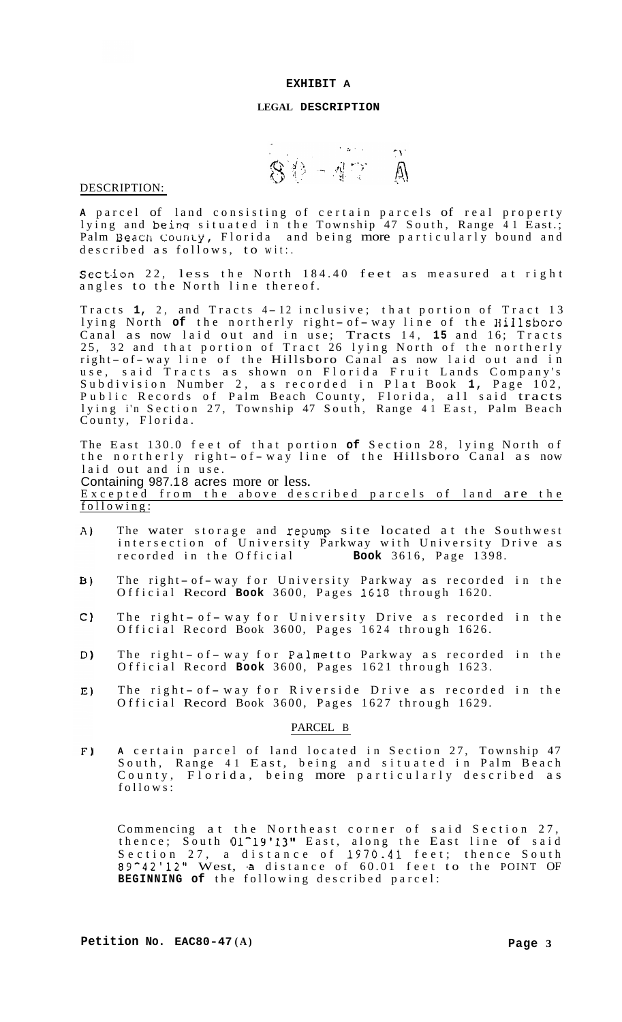## **LEGAL DESCRIPTION**

 $80 - 47$  Å

#### DESCRIPTION:

**<sup>A</sup>**parcel of land consisting of certain parcels of real property lying and beinq situated in the Township 47 South, Range 41 East.;  $P$ alm Beach County, Florida and being more particularly bound and described as follows, to wit:.

Section 22, less the North 184.40 feet as measured at right angles to the North line thereof.

Tracts 1, 2, and Tracts 4-12 inclusive; that portion of Tract 13 lyacts 1, 2, and fracts 4-12 inclusive; that portion of fract is<br>lying North **of** the northerly right- of-way line of the Hillsboro Canal as now laid out and in use; Tracts 14, **15** and 16; Tracts 25, 32 and that portion of Tract 26 lying North of the northerly<br>right-of-way line of the Hillsboro Canal as now laid out and in use, said Tracts as shown on Florida Fruit Lands Company's Subdivision Number 2, as recorded in Plat Book **1,** Page 102, Public Records of Palm Beach County, Florida, all said tracts lying i'n Section 27, Township 47 South, Range 41 East, Palm Beach County, Florida.

The East 130.0 feet of that portion **of** Section 28, lying North of the northerly right-of-way line of the Hillsboro Canal as now laid out and in use. Containing 987.1 8 acres more or less. Excepted from the above described parcels of land are the following:

- The water storage and repump site located at the Southwest  $A)$ intersection of University Parkway with University Drive as recorded in the Official **Book** 3616, Page 1398.
- The right- of-way for University Parkway as recorded in the  $B<sub>1</sub>$ Official Record **Book** 3600, Pages 1610 through 1620.
- The right- of-way for University Drive as recorded in the  $C)$ Official Record Book 3600, Pages 1624 through 1626.
- The right- of-way for Palmetto Parkway as recorded in the D) Official Record **Book** 3600, Pages 1621 through 1623.
- The right-of-way for Riverside Drive as recorded in the  $E)$ Official Record Book 3600, Pages 1627 through 1629.

## PARCEL B

 $F)$ **<sup>A</sup>**certain parcel of land located in Section 27, Township 47 South, Range 41 East, being and situated in Palm Beach County, Florida, being more particularly described as follows:

Commencing at the Northeast corner of said Section 27, thence; South 01<sup>-19'13</sup>" East, along the East line of said Section 27, a distance of 1970.41 feet; thence South 89<sup>-42'12"</sup> West, a distance of 60.01 feet to the POINT OF **BEGINNING of** the following described parcel: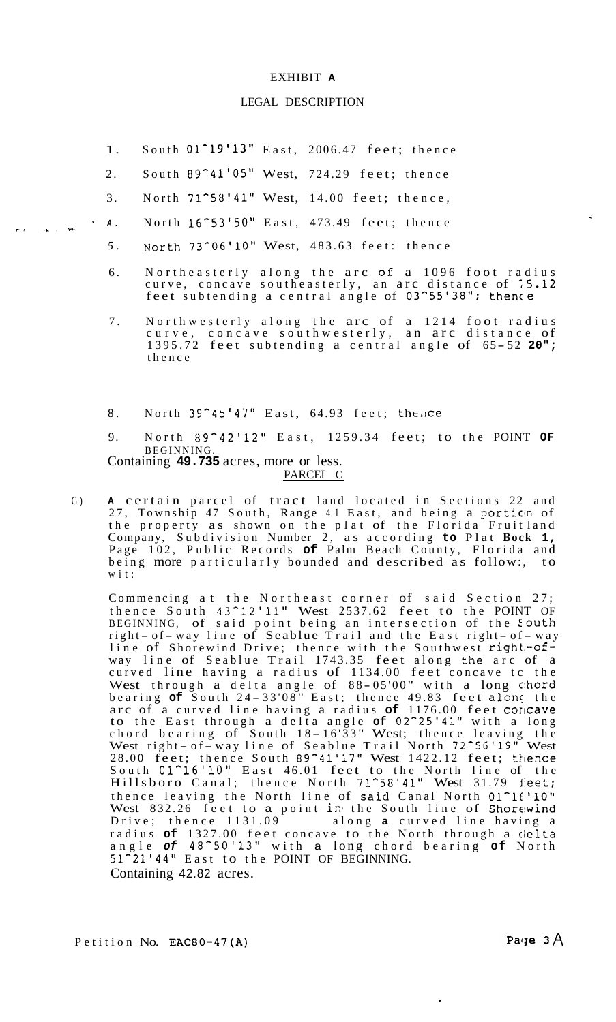## LEGAL DESCRIPTION

- 1. South  $01^{\circ}19'13''$  East, 2006.47 feet; thence
- 2. South 89<sup>-41'05"</sup> West, 724.29 feet; thence
- 3. North 71^58'41" West, 14.00 feet; thence,
- *A.* North 16-53'50'' East, 473.49 feet; thence
	- *5.* North 73^06'10" West, 483.63 feet: thence
	- 6. Northeasterly along the arc **of** a 1096 foot radius curve, concave southeasterly, an arc distance of ;5.12 feet subtending a central angle of 03^55'38"; thence
	- 7. Northwesterly along the arc of a 1214 foot radius curve, concave southwesterly, an arc distance of 1395.72 feet subtending a central angle of 65-52 20"; thence
	- 8. North 39<sup>-45'47</sup> East, 64.93 feet; thence
	- 9. North 89-42'12" East, 1259.34 feet; to the POINT **OF**  BEGINNING.

Containing **49.735** acres, more or less. PARCEL C

**rt** *-c* , -

G) **<sup>A</sup>**certain parcel of tract land located in Sections 22 and 27, Township 47 South, Range 41 East, and being a portion of the property as shown on the plat of the Florida Fruit land Company, Subdivision Number 2, as according **to** Plat **Bock 1,**  Page 102, Public Records **of** Palm Beach County, Florida and being more particularly bounded and described as follow:, wit:

Commencing at the Northeast corner of said Section 27; thence South 43-12'11" West 2537.62 feet to the POINT OF BEGINNING, of said point being an intersection of the South right- of-way line of Seablue Trail and the East right- of-way line of Shorewind Drive; thence with the Southwest right-ofway line of Seablue Trail 1743.35 feet along the arc of a curved line having a radius of 1134.00 feet concave tc the West through a delta angle of 8 8 - 05'00 " with a long c:hord bearing of South 24-33'08" East; thence 49.83 feet along the arc of a curved line having a radius of 1176.00 feet concave to the East through a delta angle of 02<sup>-25'41</sup>" with a long<br>chord bearing of South 18-16'33" West; thence leaving the cnord bearing of South 18–1633 West; thence leaving the<br>West right- of-way line of Seablue Trail North 72~56'19" West 28.00 feet; thence South 89<sup>-</sup>41'17" West 1422.12 feet; thence South 01^16'10" East 46.01 feet to the North line of the Hillsboro Canal; thence North 71<sup>^58'41</sup>" West 31.79 feet; thence leaving the North line of said Canal North 01<sup>-16</sup>'10" West 832.26 feet to a point in the South line of Shorewind<br>Drive; thence 1131.09 along a curved line having a along **a** curved line having a radius **of** 1327.00 feet concave to the North through a cielta angle *of* 48-50'13'' with a long chord bearing **of** North 51-21'44" East to the POINT OF BEGINNING. Containing 42.82 acres.

Petition No. EAC80-47(A)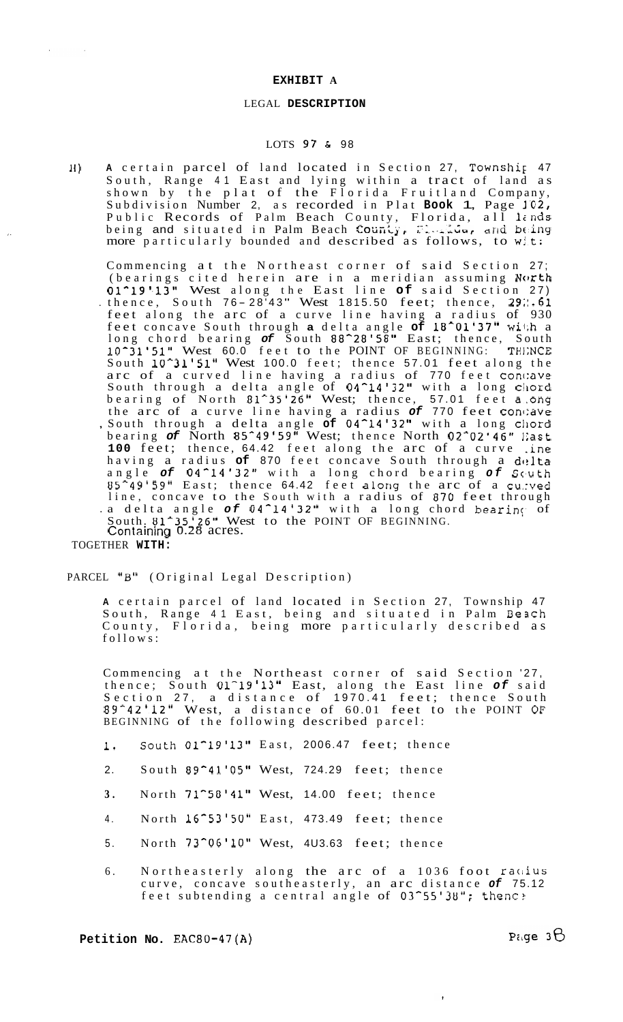## LEGAL **DESCRIPTION**

## LOTS 97 & 98

**li) A** certain parcel of land located in Section 27, Township 47 South, Range 41 East and lying within a tract of land as shown by the plat of the Florida Fruitland Company, shown by the plat of the flottea fluttrand company,<br>Subdivision Number 2, as recorded in Plat **Book 1**, Page 102, Public Records of Palm Beach County, Florida, all linds rublic Records of Palm Beach County, Florida, all lends<br>being and situated in Palm Beach County, Florida, and being more particularly bounded and described as follows, to wit:

Commencing at the Northeast corner of said Section 27; (bearings cited herein are in a meridian assuming North 01^19'.13" West along the East line **of** said Section 27) of 19 13 west along the East line Of said Section 27)<br>thence, South 76-28'43" West 1815.50 feet; thence, 29...61 feet along the arc of a curve line having a radius of 930 feet concave South through **a** delta angle **of** 18^01'37" wii;h a long chord bearing *of* South 88\*28'58" East; thence, South **10^31'51"** West 60.0 feet to the POINT OF BEGINNING: TH1;NCE South 10<sup>-</sup>31'51" West 100.0 feet; thence 57.01 feet along the arc of a curved line having a radius of 770 feet concave South through a delta angle of 04<sup>-</sup>14'32" with a long chord bearing of North 81<sup>-35'26</sup>" West; thence, 57.01 feet a.ong the arc of a curve line having a radius of 770 feet concave , South through a delta angle **of** 04-14'32'' with a long cllord bearing *of* North 85-49'59" West; thence North 02-02'46" 1;ast **100** feet; thence, 64.42 feet along the arc of a curve .ine having a radius of 870 feet concave South through a delta angle *of* 04-14'32'' with a long chord bearing *of* Sc'uth US-49'59" East; thence 64.42 feet along the arc of a cu.:ved line, concave to the South with a radius of 870 feet through .a delta angle of 04<sup>-14'32</sup>" with a long chord bearing of South. 81<sup>-25'26</sup>" West to the POINT OF BEGINNING. Containing 0.28 acres.

TOGETHER **WITH:** 

 $\sim$ 

 $\sim 10$ 

PARCEL "B" (Original Legal Description)

**<sup>A</sup>**certain parcel of land located in Section 27, Township 47 South, Range 41 East, being and situated in Palm Be3ch County, Florida, being more particularly described as follows:

Commencing at the Northeast corner of said Section '27, thence; South 01-19'13" East, along the East line *of* said Section 27, a distance of 1970.41 feet; thence South 89-42'12" West, a distance of 60.01 feet to the POINT **OF**  BEGINNING of the following described parcel:

- 1. South 01<sup>-19'13</sup>" East, 2006.47 feet; thence
- 2. South 89-41'05" West, 724.29 feet; thence
- **3.** North 71-50'41" West, 14.00 feet; thence
- 4. North 16^53'50" East, 473.49 feet; thence
- 5. North 73^06'10" West, 4U3.63 feet; thence
- 6. Northeasterly along the arc of a 1036 foot racius curve, concave southeasterly, an arc distance *of* 75.12 feet subtending a central angle of 03<sup>-55'38</sup>"; thenc?

Petition No. EAC80-47(A)

 $\cdot$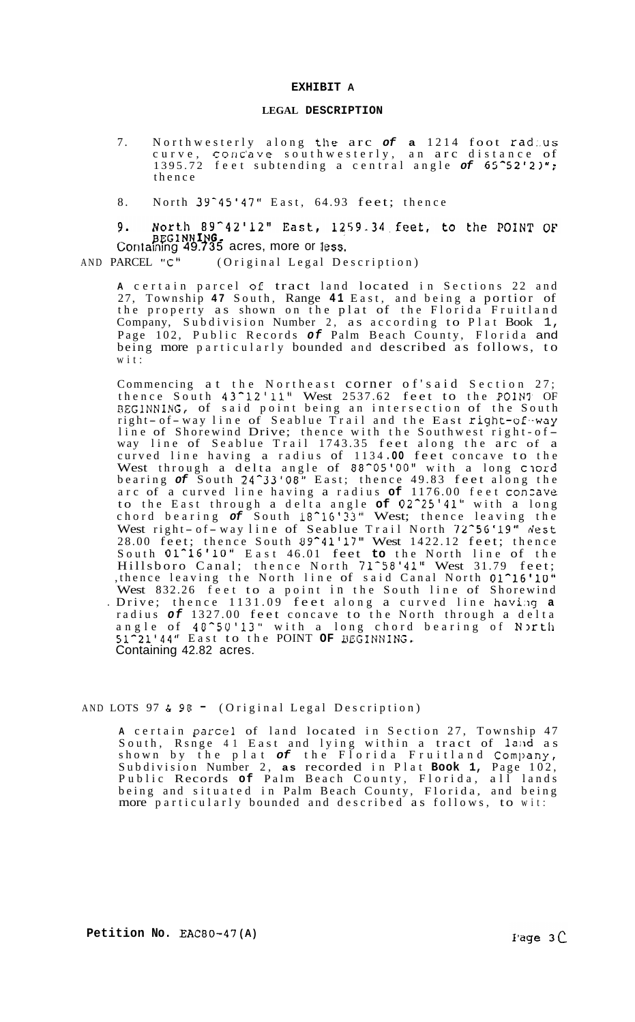## **LEGAL DESCRIPTION**

- 7. Northwesterly along the arc *of* **a** 1214 foot rad:.us curve, conc'ave southwesterly, an arc distance of 1395.72 feet subtending a central angle of 65<sup>-52'21";</sup> thence
- 8. North 39<sup>-45'47"</sup> East, 64.93 feet; thence

9. North 89<sup>-12'12"</sup> East, 1259.34 feet, to the POINT OF<br>BEGINNING, Containing 49.735 acres, more or less.<br>AND PARCEL "C" (Original Legal Description) 9.

(Original Legal Description)

**<sup>A</sup>**certain parcel **of** tract land located in Sections 22 and 27, Township **47** South, Range **41** East, and being a portior of the property as shown on the plat of the Florida Fruitland Company, Subdivision Number 2, as according to Plat Book 1, Page 102, Public Records *of* Palm Beach County, Florida and being more particularly bounded and described as follows, to wit:

Commencing at the Northeast corner of'said Section 27; thence South 43^12'11" West 2537.62 feet to the POINT OF BEGINNING, of said point being an intersection of the South<br>right-of-way line of Seablue Trail and the East right-of-way right-of-way line of Seablue Irail and the East right-of-way<br>line of Shorewind Drive; thence with the Southwest right-ofway line of Seablue Trail 1743.35 feet along the arc of a curved line having a radius of 1134 **.OO** feet concave to the West through a delta angle of 88<sup>o</sup>05'00" with a long ciord bearing *of* South 24-33'08'' East; thence 49.83 feet along the arc of a curved line having a radius **of** 1176.00 feet conzave to the East through a delta angle **of** 02-25'41" with a long chord bearing *of* South 18-16'33'' West; thence leaving the West right- of - way line of Seablue Trail North 72<sup>-56'19"</sup> dest 28.00 feet; thence South 09^41'17" West 1422.12 feet; thence South 01<sup>-16'10</sup>" East 46.01 feet to the North line of the Hillsboro Canal; thence North 71^58'41" West 31.79 feet; ,thence leaving the North line of said Canal North **01^16'10"**  West 832.26 feet to a point in the South line of Shorewind . Drive; thence 1131.09 feet along a curved line having a radius *of* 1327.00 feet concave to the North through a delta angle of **4Un5U'13"** with a long chord bearing of N3rth 51-21'44" East to the POINT **OF** DEGINNING. Containing 42.82 acres.

AND LOTS 97  $\&$  98 = (Original Legal Description)

**<sup>A</sup>**certain parcel of land located in Section 27, Township 47 South, Rsnge 41 East and lying within a tract of land as shown by the plat of the Florida Fruitland Company, Subdivision Number 2, **as** recorded in Plat **Book 1,** Page 102, Public Records **of** Palm Beach County, Florida, all lands being and situated in Palm Beach County, Florida, and being more particularly bounded and described as follows, to wit: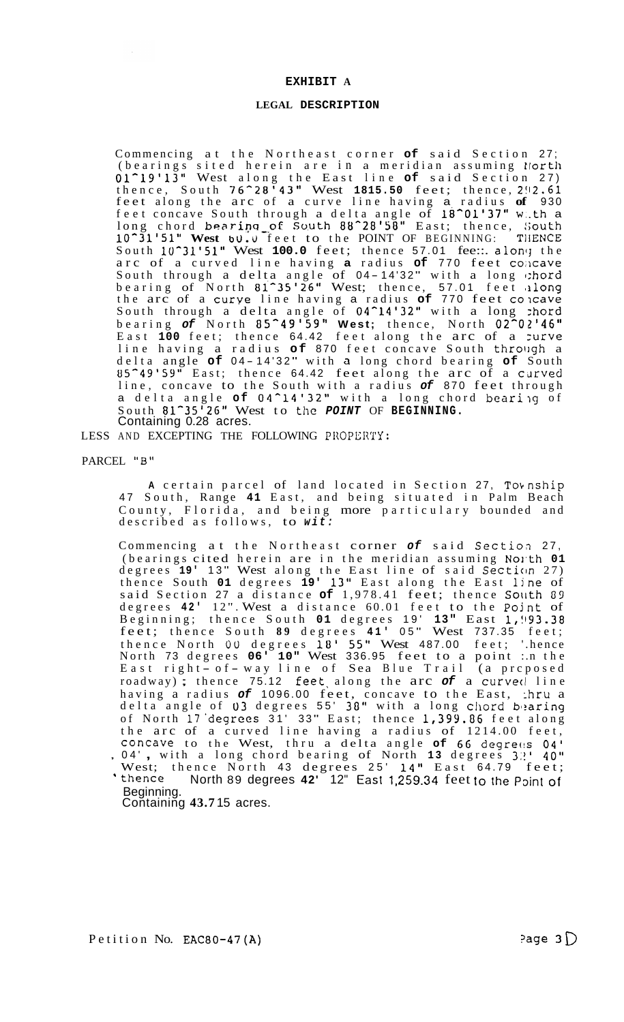## **LEGAL DESCRIPTION**

Commencing at the Northeast corner **of** said Section 27; (bearings sited herein are in a meridian assuming tlorth 01-19'13" West along the East line **of** said Section 27) thence, South 76-28'43" West **1815.50** feet; thence, **2!12.61**  feet along the arc of a curve line having a radius **of** 930 feet concave South through a delta angle of 18^01'37" w.th a long chord bearing of South 88^28'58" East; thence, Gouth 10^31'51" **West b0.u** feet to the POINT OF BEGINNING: TIIENCE South 10<sup>-</sup>31'51" West 100.0 feet; thence 57.01 fee::. along the arc of a curved line having a radius of 770 feet concave South through a delta angle of 0 4 - 14'32 " with a long 1:hord bearing of North 81<sup>-25'</sup>26" West; thence, 57.01 feet along the arc of a curye line having a radius **of** 770 feet colcave South through a delta angle of 04<sup>-</sup>14'32" with a long :hord bearing *of* North 85-49'59'' **West;** thence, North 02^02'46'' East 100 feet; thence 64.42 feet along the arc of a zurve line having a radius **of** 870 feet concave South through a delta angle **of** 04-14'32" with a long chord bearing **of** South 85<sup>-49'59"</sup> East; thence 64.42 feet along the arc of a curved line, concave to the South with a radius *of* 870 feet through a delta angle of 04<sup>^</sup>14'32" with a long chord bearing of South 81-35'26" West to the *POINT* OF **BEGINNING.**  Containing 0.28 acres.

LESS AND EXCEPTING THE FOLLOWING PROPERTY:

PARCEL "B"

A certain parcel of land located in Section 27, Township 47 South, Range **41** East, and being situated in Palm Beach County, Florida, and being more particulary bounded and described as follows, to *wit:* 

Commencing at the Northeast corner *of* said Sectioa 27, (bearings cited herein are in the meridian assuming North 01 degrees 19' 13" West along the East line of said Section 27) thence South **01** degrees **19'** 13" East along the East ljne of said Section 27 a distance of 1,978.41 feet; thence South 89 degrees 42' 12". West a distance 60.01 feet to the Point of Beginning; thence South **01** degrees 19' **13"** East 1,!193.38 feet; thence South 89 degrees 41' 05" West 737.35 feet; thence North 00 degrees **18'** 55" West 487.00 feet; '.hence North 73 degrees 06<sup>.</sup> 10" West 336.95 feet to a point :.n the East right- of - way line of Sea Blue Trail (a proposed roadway); thence 75.12 feet along the arc *of* a curved line having a radius *of* 1096.00 feet, concave to the East, :hru a delta angle of 03 degrees 55' 38" with a long chord bearing of North 17 degrees 31' 33" East; thence 1,399.86 feet along the arc of a curved line having a radius of 1214.00 feet, concave to the West, thru a delta angle of 66 degrees 04', 04', with a long chord bearing of North 13 degrees 3.'' 40" West; thence North 43 degrees 25' 14" East 64.79 feet; ' thence North 89 degrees 42' 12" East 1,259.34 feet to the Point of Beginning.

Containing **43.7** 15 acres.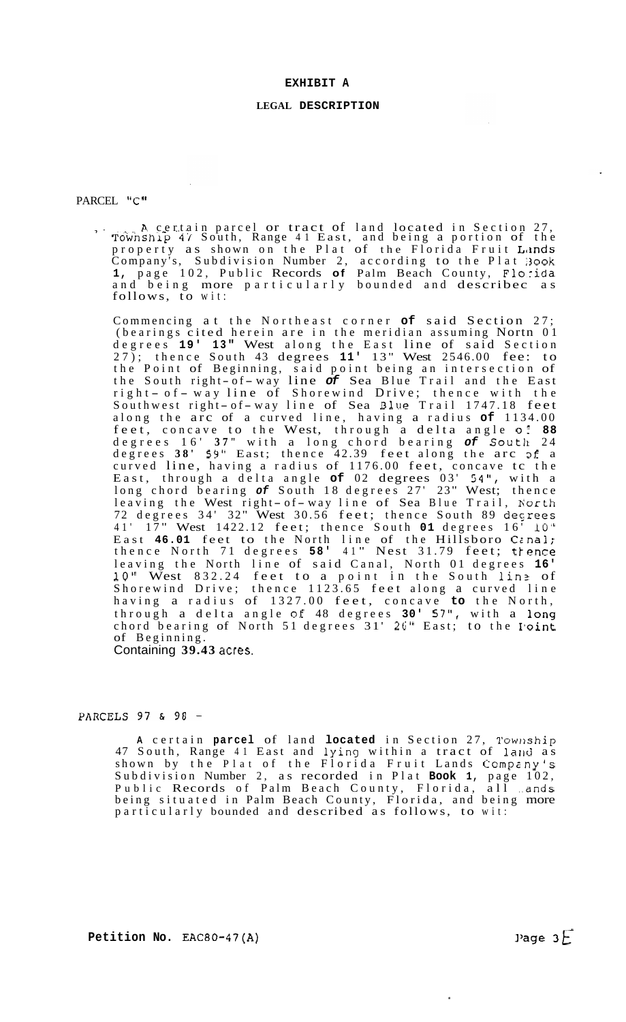#### **LEGAL DESCRIPTION**

# <span id="page-7-0"></span>PARCEL "C"

A certain parcel or tract of land located in Section 27, ' Township 47 South, Range 41 East, and being a portion of the property as shown on the Plat of the Florida Fruit Lands Company's, Subdivision Number 2, according to the Plat 300k **1,** page 102, Public Records **of** Palm Beach County, Florida and being more particularly bounded and describec as follows, to wit:

Commencing at the Northeast corner **of** said Section 27; (bearings cited herein are in the meridian assuming Nortn 01 degrees 19' 13" West along the East line of said Section 27); thence South 43 degrees 11' 13" West 2546.00 fee: to the Point of Beginning, said point being an intersection of the South right-of-way line of Sea Blue Trail and the East the South right-of-way line or Sea Blue Irall and the East<br>right-of-way line of Shorewind Drive; thence with the right- of-way line of Shorewind Dilve, thence with the<br>Southwest right- of-way line of Sea Blue Trail 1747.18 feet along the arc of a curved line, having a radius **of** 1134.00 feet, concave to the West, through a delta angle oi **88**  degrees 16' **3 7 "** with a long chord bearing *of* Soutll 24 degrees **38' 59''** East; thence 42.39 feet along the arc **Df** a curved line, having a radius of 1176.00 feet, concave tc the East, through a delta angle **of** 02 degrees 03' 54", with a long chord bearing of South 18 degrees 27' 23" West; thence<br>leaving the West right- of-way line of Sea Blue Trail, North 72 degrees 34' 32" West 30.56 feet; thence South 89 deGrees 41' 17" West 1422.12 feet; thence South 01 degrees 16<sup>7</sup> 10" East **46.01** feet to the North line of the Hillsboro Ccnal; thence North 71 degrees 58' 41" Nest 31.79 feet; trence leaving the North line of said Canal, North 01 degrees **16' 10''** West 832.24 feet to a point in the South lin? of Shorewind Drive; thence 1123.65 feet along a curved line having a radius of 1327.00 feet, concave **to** the North, through a delta angle **OE** 48 degrees **30'** 57", with a long chord bearing of North 51 degrees 31' 26'' East; to the I'oint of Beginning. Containing **39.43** acres.

## PARCELS 97 & 98 -

A certain **parcel** of land **located** in Section 27, Township 47 South, Range 41 East and lying within a tract of land as shown by the Plat of the Florida Fruit Lands Company's Subdivision Number 2, as recorded in Plat **Book 1,** page 102, Public Records of Palm Beach County, Florida, all .ands being situated in Palm Beach County, Florida, and being more particularly bounded and described as follows, to wit: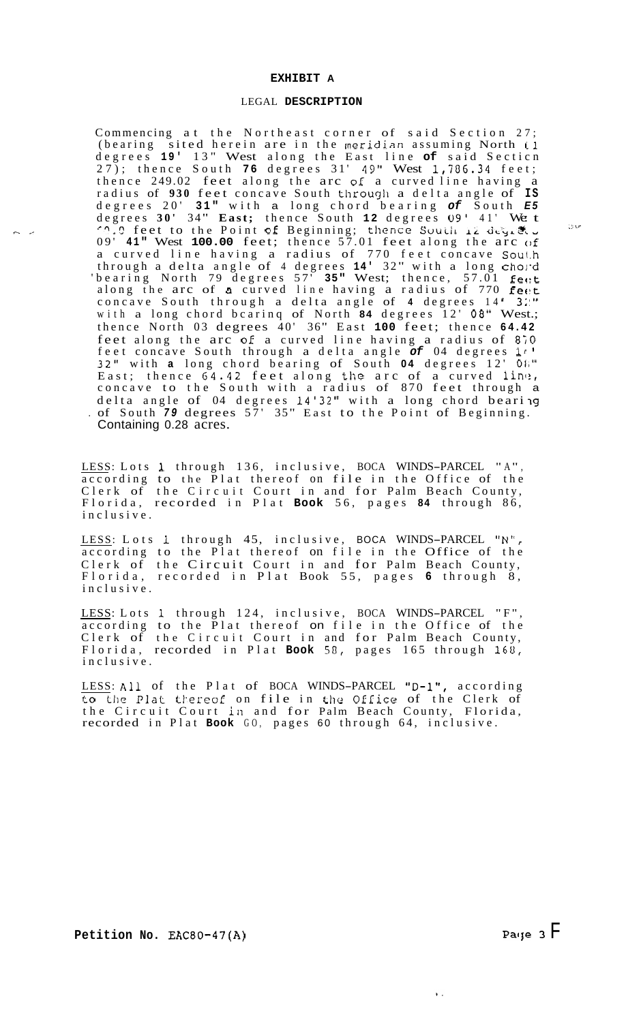#### LEGAL **DESCRIPTION**

Commencing at the Northeast corner of said Section 27; Commencing at the Northeast corner of said Section 27;<br>(bearing sited herein are in the meridian assuming North 1 degrees 19' 13" West along the East line of said Section 27); thence South **76** degrees 31' 49" West 1,786.34 feet; thence 249.02 feet along the arc **of** a curved line having a radius of 930 feet concave South through a delta angle of IS degrees 20' 31" with a long chord bearing of South E5<br>degrees 30' 34" East; thence South 12 degrees 09' 41' We t<br>10.9 feet to the Point of Beginning; thence South 12 degrees<br>09' 41" West 100.00 feet; thence 57.01 feet alon a curved line having a radius of 770 feet concave South through a delta angle of 4 degrees 14' 32" with a long chord 'bearing North 79 degrees 57' 35" West; thence, 57.01 feet along the arc of a curved line having a radius of 770 **feet** concave South through a delta angle of **4** degrees 14 ' **3;:"**  with a long chord bcarinq of North **84** degrees 12' 08" West.; thence North 03 degrees 40' 36" East **100** feet; thence **64.42**  feet along the arc **oE** a curved line having a radius of **8;O**  feet concave South through a delta angle *of* 04 degrees **11** ' 32'' with **a** long chord bearing of South **04** degrees 12' 01;" East; thence  $64.42$  feet along the arc of a curved line, concave to the South with a radius of 870 feet through a delta angle of 04 degrees 14'32" with a long chord beari **19**  Containing 0.28 acres. . of South 79 degrees 57' 35" East to the Point of Beginning.

LESS: Lots 1 through 136, inclusive, BOCA WINDS-PARCEL "A", according to the Plat thereof on file in the Office of the Clerk of the Circuit Court in and for Palm Beach County, Florida, recorded in Plat **Book** 56, pages **84** through 86, inclusive.

LESS: Lots **1** through 45, inclusive, BOCA WINDS-PARCEL "N", according to the Plat thereof on file in the Office of the Clerk of the Circuit Court in and for Palm Beach County, Florida, recorded in Plat Book 55, pages **6** through 8, inclusive.

LESS: Lots 1 through 124, inclusive, BOCA WINDS-PARCEL "F", according to the Plat thereof on file in the Office of the Clerk of the Circuit Court in and for Palm Beach County, Florida, recorded in Plat **Book 58**, pages 165 through 168, inclusive.

LESS: All of the Plat of BOCA WINDS-PARCEL "D-1", according to the Plat thereof on file in the Office of the Clerk of the Circuit Court in and for Palm Beach County, Florida, recorded in Plat **Book** GO, pages 60 through 64, inclusive.

, .\_

 $\mathbf{v}$  .

.> **i** -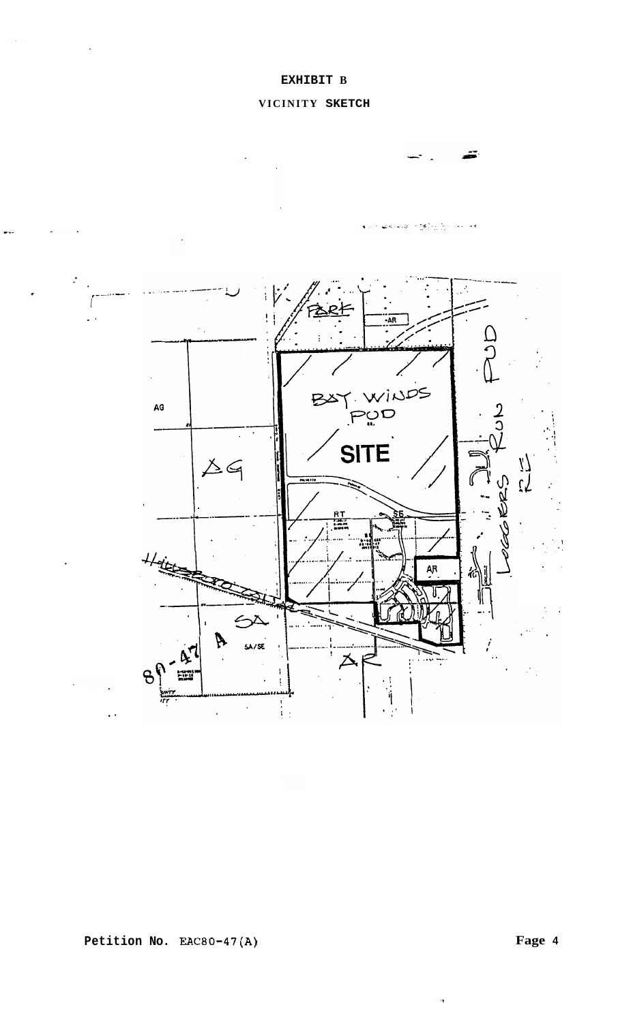# **VICINITY SKETCH**



**Fage 4** 

 $\ddot{\phantom{0}}$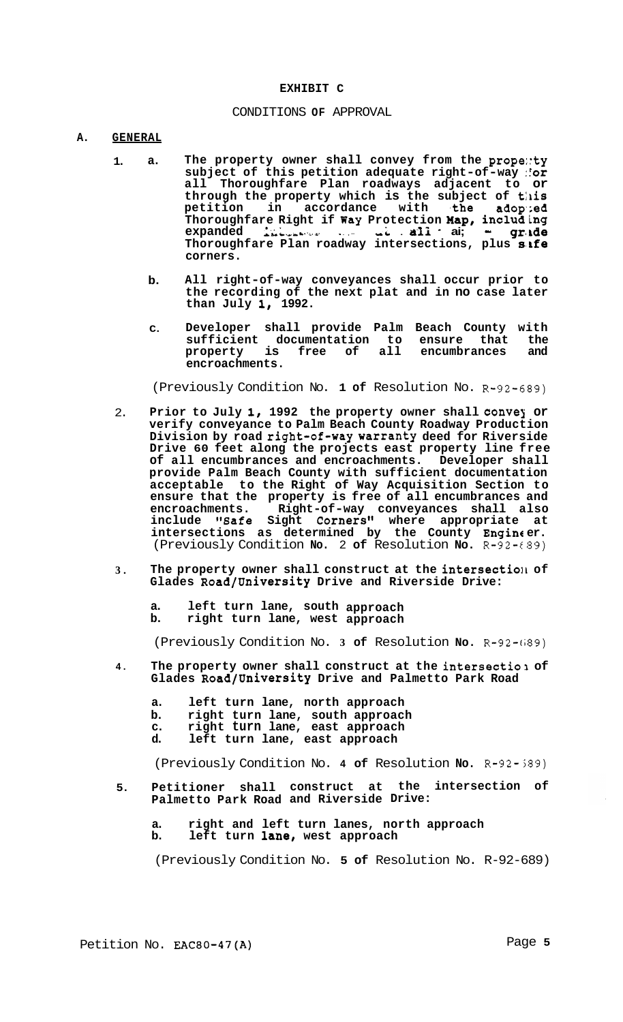#### **EXHIBIT C**

#### CONDITIONS **OF** APPROVAL

#### **A. GENERAL**

- **1. a. The property owner shall convey from the prope::ty subject of this petition adequate right-of-way :!or all Thoroughfare Plan roadways adjacent to or**  through the property which is the subject of this petition in accordance with the adop;ed **Thoroughfare Right if Way Protection Map, including expanded** *SLY-* \*. . . ,- ,L . **a-li** - **ai;** - **gr(1de Thoroughfare Plan roadway intersections, plus s.Lfe corners.** 
	- **b. All right-of-way conveyances shall occur prior to the recording of the next plat and in no case later than July I, 1992.**
	- **C. Developer shall provide Palm Beach County with sufficient documentation to ensure that the**  property is free of all **encroachments.**

(Previously Condition No. **1 of** Resolution No. R-92-6B9)

- 2. Prior to July 1, 1992 the property owner shall convey or **verify conveyance to Palm Beach County Roadway Production Division by road right-of-way warranty deed for Riverside Drive 60 feet along the projects east property line free of all encumbrances and encroachments. Developer shall provide Palm Beach County with sufficient documentation acceptable to the Right of Way Acquisition Section to ensure that the property is free of all encumbrances and encroachments. Right-of-way conveyances shall also include "Safe Sight Corners" where appropriate at intersections as determined by the County Engine er.**  (Previously Condition **No.** 2 **of** Resolution **No.** R-92-€89)
- **3.**  The property owner shall construct at the intersection of **Glades Road/University Drive and Riverside Drive:** 
	- **a. left turn lane, south approach**
	- **b. right turn lane, west approach**

(Previously Condition No. **3 of** Resolution **No.** R-92-(;89)

- **4.**  The property owner shall construct at the intersectio 1 of **Glades Road/University Drive and Palmetto Park Road** 
	- **a. left turn lane, north approach**
	- **b. right turn lane, south approach**
	- **c. right turn lane, east approach**
	- **d. left turn lane, east approach**

(Previously Condition No. **4 of** Resolution **No.** R-92-389)

- **5. Petitioner shall construct at the intersection of Palmetto Park Road and Riverside Drive:** 
	- **a. right and left turn lanes, north approach b. left turn lane, west approach**

(Previously Condition No. **5 of** Resolution No. R-92-689)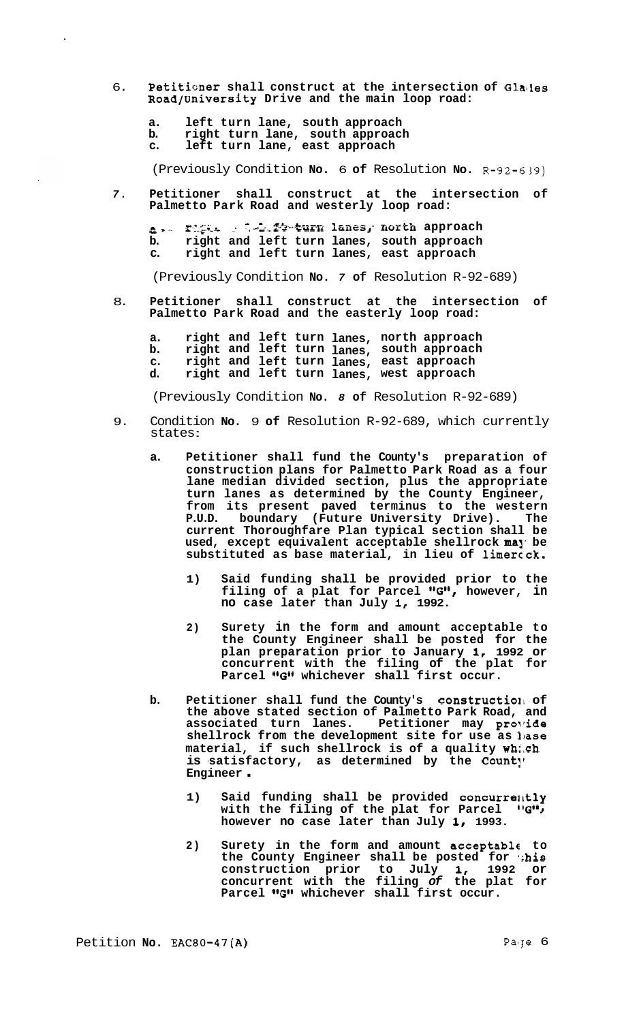- 6. **Petitisner shall construct at the intersection of Glailes Road/University Drive and the main loop road:** 
	- **a. left turn lane, south approach**

 $\ddot{\phantom{a}}$ 

- **b. right turn lane, south approach**
- **c. left turn lane, east approach**

(Previously Condition **No.** 6 **of** Resolution **No.** R-92-639)

*7.* **Petitioner shall construct at the intersection of Palmetto Park Road and westerly loop road:** 

*Ea* , - .. **P.:\*.,-** .-. **.e.** - .: *7* &:--. **2-+4xdz%1 lanes** ,- **north approach b. right and left turn lanes, south approach c. right and left turn lanes, east approach** 

(Previously Condition **No.** *7* **of** Resolution R-92-689)

8. **Petitioner shall construct at the intersection of Palmetto Park Road and the easterly loop road:** 

**a. right and left turn lanes, north approach b. right and left turn lanes, south approach c. right and left turn lanes, east approach d. right and left turn lanes, west approach** 

(Previously Condition **No.** *8* **of** Resolution R-92-689)

- 9. Condition **No.** 9 **of** Resolution R-92-689, which currently states :
	- **a. Petitioner shall fund the County's preparation of construction plans for Palmetto Park Road as a four lane median divided section, plus the appropriate turn lanes as determined by the County Engineer, from its present paved terminus to the western boundary** (Future University Drive). The **current Thoroughfare Plan typical section shall be**  used, except equivalent acceptable shellrock may be **substituted as base material, in lieu of limercck.** 
		- **1) Said funding shall be provided prior to the filing of a plat for Parcel %B\*, however, in no case later than July 1, 1992.**
		- **2) Surety in the form and amount acceptable to the County Engineer shall be posted for the plan preparation prior to January I, 1992 or concurrent with the filing of the plat for**  Parcel "G" whichever shall first occur.
	- **b.** Petitioner shall fund the County's construction of **the above stated section of Palmetto Park Road, and**  associated turn lanes. Petitioner may provide shellrock from the development site for use as lase **material, if such shellrock is of a quality wh:.ch is -satisfactory, as determined by the Count!' Engineer** .
		- **1)** Said funding shall be provided concurrently with the filing of the plat for Parcel *IIG***<sup>11</sup> however no case later than July I, 1993.**
		- **2) Surety in the form and amount acceptable to**  the County Engineer shall be posted for "his **construction prior to July I, 1992 or concurrent with the filing** *of* **the plat for**  Parcel "G" whichever shall first occur.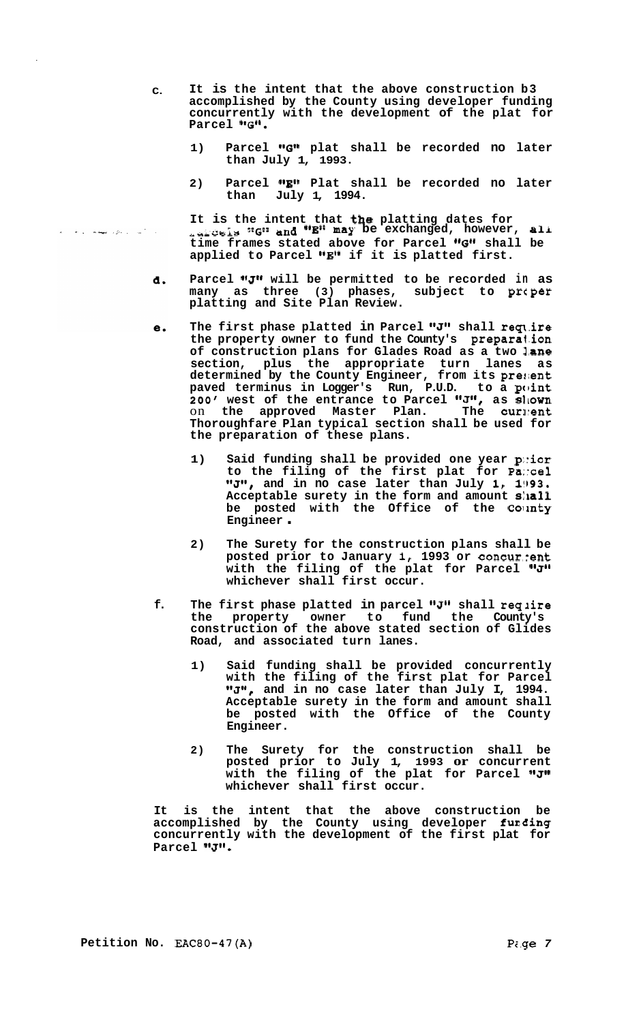- **C. It is the intent that the above construction b3 accomplished by the County using developer funding concurrently with the development of the plat for**  Parcel "G".
	- 1) Parcel "G" plat shall be recorded no later **than July 1, 1993.**
	- 2) Parcel "E" Plat shall be recorded no later **than July 1, 1994.**

It is the intent that **the** platting dates for<br>
<sub>add</sub>reis "G" and "E" may be exchanged, however, ali time frames stated above for Parcel "G" shall be applied to Parcel "E" if it is platted first.

- Parcel "J" will be permitted to be recorded in as d. **many as three (3) phases, subject to prcper platting and Site Plan Review.**
- The first phase platted in Parcel "J" shall require е. **the property owner to fund the County's preparalion of construction plans for Glades Road as a two lane section, plus the appropriate turn lanes as determined by the County Engineer, from its prefient paved terminus in Logger's Run, P.U.D. to a point 200' west of the entrance to Parcel "J", as sllown** on the approved Master Plan. The curlent **Thoroughfare Plan typical section shall be used for the preparation of these plans.** 
	- **1) Said funding shall be provided one year p;:ior to the filing of the first plat for Pa::cel "J", and in no case later than July 1, 1993. Acceptable surety in the form and amount s:la11 be posted with the Office of the Corinty Engineer** .
	- **2) The Surety for the construction plans shall be posted prior to January 1, 1993 or concur.?ent**  with the filing of the plat for Parcel "J" **whichever shall first occur.**
- **f.**  The first phase platted in parcel "J" shall require<br>the property owner to fund the County's owner to fund the County's **construction of the above stated section of Glides Road, and associated turn lanes.** 
	- **1) Said funding shall be provided concurrently with the filing of the first plat for Parcel**  "J", and in no case later than July I, 1994. **Acceptable surety in the form and amount shall be posted with the Office of the County Engineer.**
	- **2) The Surety for the construction shall be posted prior to July 1, 1993 or concurrent**  with the filing of the plat for Parcel "J" **whichever shall first occur.**

**It is the intent that the above construction be**  accomplished by the County using developer furding **concurrently with the development of the first plat for**  Parcel "J".

 $\mathcal{A}_{\mathcal{A}}$  , where  $\{p_{\mathcal{A}}\}_{\mathcal{A}}$  ,  $\mathcal{A}_{\mathcal{A}}^{(k)}$  ,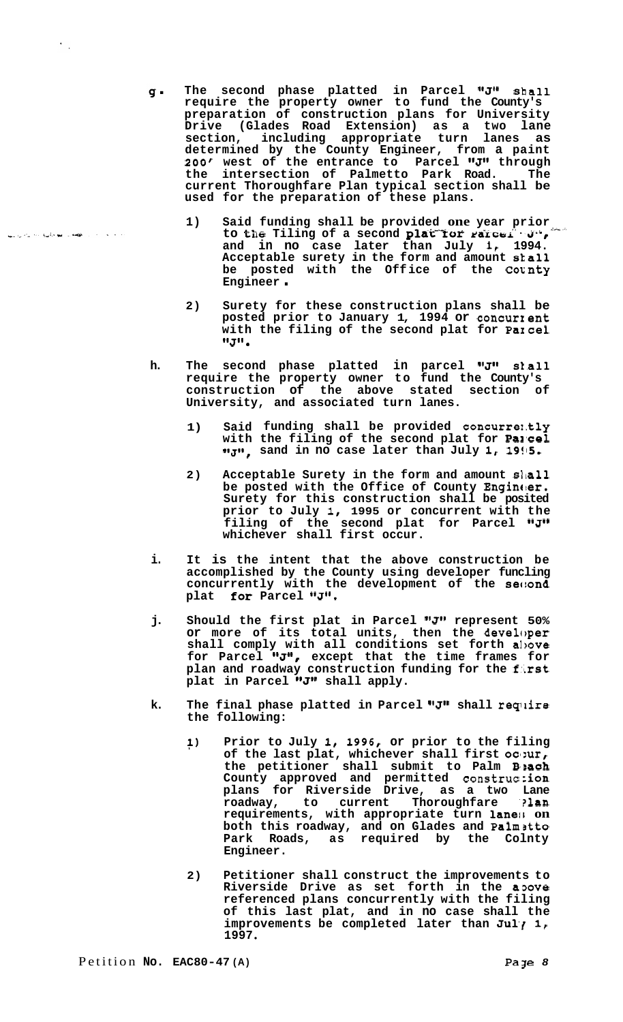. The second phase platted in Parcel "J" shall **require the property owner to fund the County's preparation of construction plans for University Drive (Glades Road Extension) as a two lane section, including appropriate turn lanes as determined by the County Engineer, from a paint**  *200'* **west of the entrance to Parcel IIJ1\* through the intersection of Palmetto Park Road. The current Thoroughfare Plan typical section shall be used for the preparation of these plans.** 

- 1) Said funding shall be provided one year prior to the Tiling of a second plat for *rarcel*.  $\mathbf{J}^*$ , **and in no case later than July 1, 1994. Acceptable surety in the form and amount skall be posted with the Off ice of the Cotnty Engineer** .
- **2) Surety for these construction plans shall be posted prior to January 1, 1994 or concurxent**  with the filing of the second plat for PaIcel **1**
- **h.** The second phase platted in parcel **"J" slall require the property owner to fund the County's construction of the above stated section of University, and associated turn lanes.** 
	- **1) Said funding shall be provided concurre1,tly with the filing of the second plat for Pal'cel "J"**, sand in no case later than July 1, 19!15.
	- **2) Acceptable Surety in the form and amount slia11**  be posted with the Office of County **Engin**er. **Surety for this construction shall be posited prior to July I, 1995 or concurrent with the filing of the second plat for Parcel ImJ1I whichever shall first occur.**
- **i. It is the intent that the above construction be accomplished by the County using developer funcling concurrently with the development of the sec:ond**  plat **for** Parcel "J".
- **j.** Should the first plat in Parcel "J" represent 50% **or more of its total units, then the developer shall comply with all conditions set forth albove**  for Parcel "J", except that the time frames for **plan and roadway construction funding for the f:Lrst**  plat in Parcel **"J"** shall apply.
- k. The final phase platted in Parcel "J" shall require **the following:** 
	- **1) Prior to July 1, 1996, or prior to the filing of the last plat, whichever shall first oc~:ur, the petitioner shall submit to Palm B'sach County approved and permitted construc :ion plans for Riverside Drive, as a two Lane roadway, to current Thoroughfare '?lan**  requirements, with appropriate turn lanes on **both this roadway, and on Glades and Palmatto Park Roads, as required by the Colnty Engineer.**
	- **2) Petitioner shall construct the improvements to Riverside Drive as set forth in the a3ove referenced plans concurrently with the filing of this last plat, and in no case shall the**  improvements be completed later than Jul<sub>l</sub> 1, **1997**

 $\epsilon_{\rm{th}}$ 

**CONTRACTOR SUPPORT COMPANY IN THE REAL PROPERTY**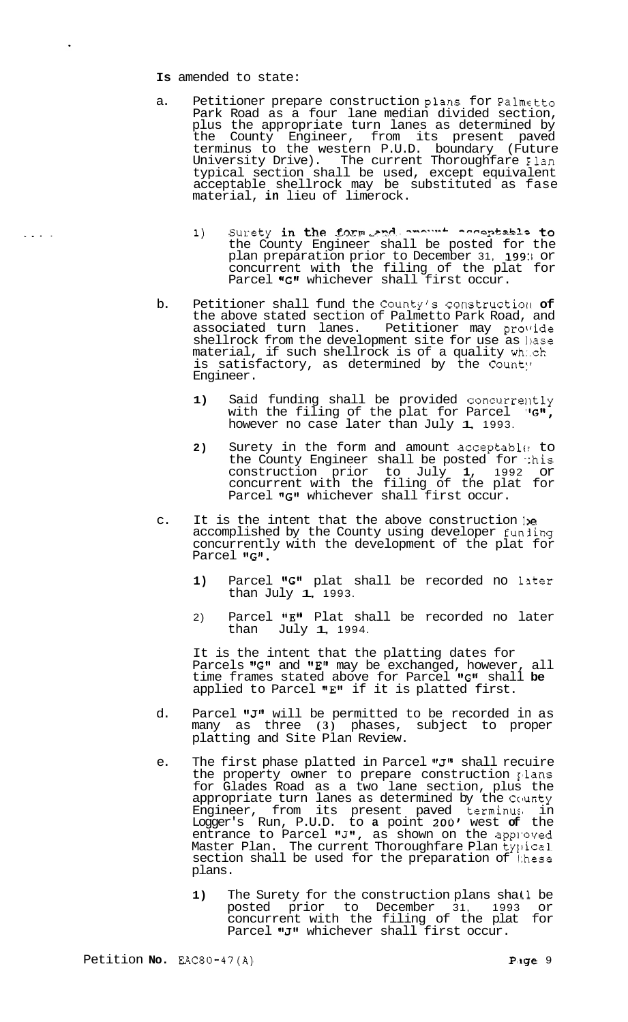## **Is** amended to state:

.

- a. Petitioner prepare construction plans for Palmetto Park Road as a four lane median divided section, plus the appropriate turn lanes as determined by the County Engineer, from its present paved terminus to the western P.U.D. boundary (Future University Drive). The current Thoroughfare Elan typical section shall be used, except equivalent acceptable shellrock may be substituted as fase material, **in** lieu of limerock.
	- 1) Surety in the form and anount acceptable to the County Engineer shall be posted for the plan preparation prior to December 31, 199:1 or concurrent with the filing of the plat for Parcel "G" whichever shall first occur.
- b. Petitioner shall fund the County's construction of the above stated section of Palmetto Park Road, and associated turn lanes. Petitioner may provide shellrock from the development site for use as hase material, if such shellrock is of a quality which is satisfactory, as determined by the County Engineer.
	- 1) Said funding shall be provided concurrently with the filing of the plat for Parcel  $"$ G", however no case later than July 1, 1993.
	- 2) Surety in the form and amount acceptable to the County Engineer shall be posted for this construction prior to July **1,** 1992 or concurrent with the filing of the plat for Parcel "G" whichever shall first occur.
- c. It is the intent that the above construction  $ie$ accomplished by the County using developer funling concurrently with the development of the plat for Parcel "G".
	- 1) Parcel "G" plat shall be recorded no later than July  $1, 1993$ .
	- 2) Parcel  $"E"$  Plat shall be recorded no later<br>than July 1, 1994. July **1**, 1994.

It is the intent that the platting dates for Parcels "G" and "E" may be exchanged, however, all time frames stated above for Parcel "G" shall be applied to Parcel "E" if it is platted first.

- d. Parcel "J" will be permitted to be recorded in as many as three **(3)** phases, subject to proper platting and Site Plan Review.
- e. The first phase platted in Parcel "J" shall recuire the property owner to prepare construction llans for Glades Road as a two lane section, plus the appropriate turn lanes as determined by the Ccunty Engineer, from its present paved terminus in Logger's Run, P.U.D. to **a** point 200' west **of** the entrance to Parcel "J", as shown on the apploved Master Plan. The current Thoroughfare Plan t $\overline{\mathfrak{p}}$ pical section shall be used for the preparation of these plans.
	- 1) The Surety for the construction plans shall be posted prior to December 31, 1993 or concurrent with the filing of the plat for Parcel "J" whichever shall first occur.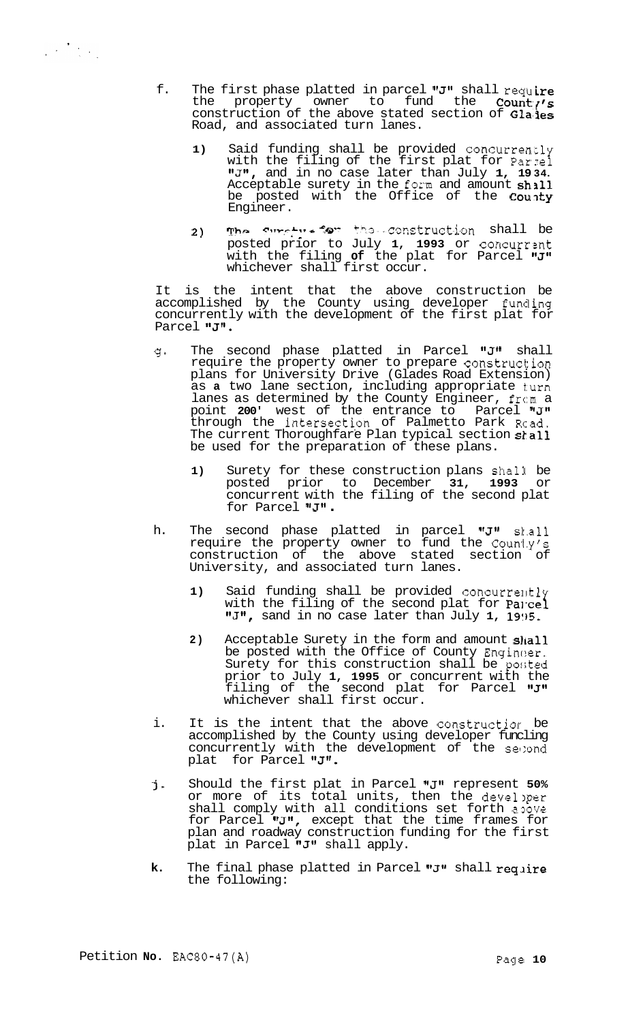- f. The first phase platted in parcel "J" shall require the property owner to fund the **Count** construction of the above stated section of Gla'les Road, and associated turn lanes.
	- **1)** Said funding shall be provided concurrently with the filing of the first plat for Parzel I1J1I, and in no case later than July **1, 19 34.**  Acceptable surety in the form and amount  $\sh{all}$ be posted with the Office of the County Engineer.
	- **2) Tho C~-r,rb\*r** *e* "a- **Ch.3-** .sznetruct-i-on shall be posted prior to July **1, 1993** or concurrznt with the filing **of** the plat for Parcel "**J"** whichever shall first occur.

It is the intent that the above construction be accomplished by the County using developer funding concurrently with the development of the first plat for Parcel "J".

- g\* The second phase platted in Parcel "J" shall require the property owner to prepare construction plans for University Drive (Glades Road Extension) as **a** two lane section, including appropriate turn lanes as determined by the County Engineer, from a point 200' west of the entrance to Parcel "J" through the intersection of Palmetto Park Road. The current Thoroughfare Plan typical section shall be used for the preparation of these plans.
	- 1) Surety for these construction plans shall be posted prior to December **31, 1993** or concurrent with the filing of the second plat<br>for Parcel "J" .
- h. The second phase platted in parcel "J" skall require the property owner to fund the Count.y's construction of the above stated section of University, and associated turn lanes.
	- 1) Said funding shall be provided concurrently with the filing of the second plat for Parcel "J", sand in no case later than July 1, 1995.
	- 2) Acceptable Surety in the form and amount shall be posted with the Office of County Engineer, Surety for this construction shall be posted prior to July **1, 1995** or concurrent with the filing of the second plat for Parcel "J" whichever shall first occur.
- i. It is the intent that the above constructior be accomplished by the County using developer funcling concurrently with the development of the segond plat for Parcel **IrJ1I.**
- **j-**Should the first plat in Parcel "J" represent 50% or more of its total units, then the develper shall comply with all conditions set forth apove for Parcel  $^{\text{\textsf{I}}\text{-}\text{\textsf{J}}\text{-}\text{\textsf{I}}}$ , except that the time frames for plan and roadway construction funding for the first plat in Parcel  $"J"$  shall apply.
- **k.**  The final phase platted in Parcel " $J$ " shall require the following: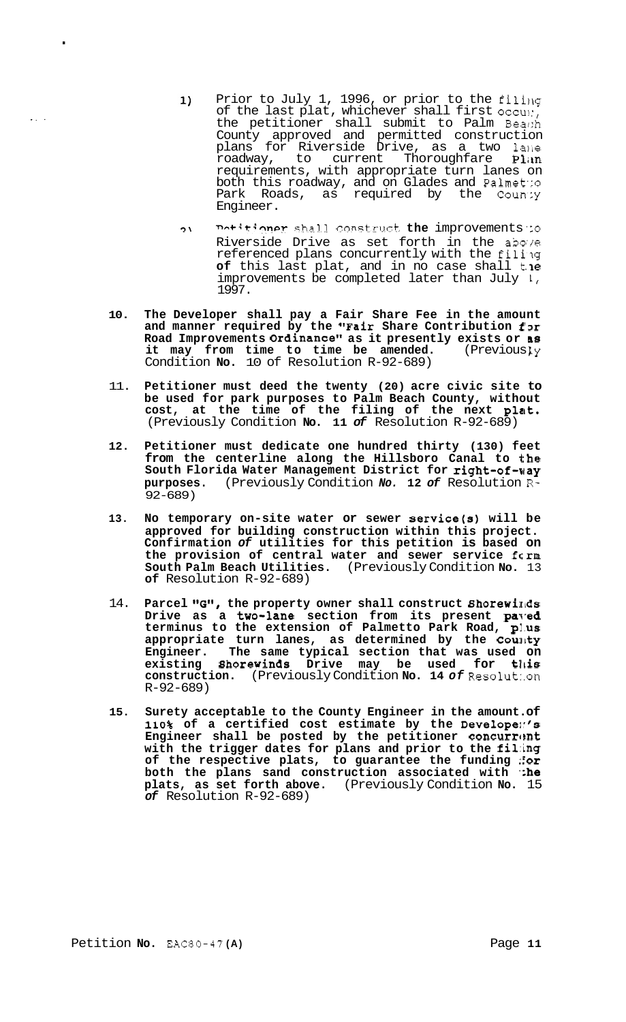- Prior to July 1, 1996, or prior to the filing  $1)$ of the last plat, whichever shall first  $\text{occu:}$ , the petitioner shall submit to Palm Beach County approved and permitted construction plans for Riverside Drive, as a two lane roadway, to current Thoroughfare Plan requirements, with appropriate turn lanes on both this roadway, and on Glades and Pa1met':o Park Roads, as required by the County Engineer.
- *7\* **n-+:\*:?npr** Sha'1-1 constrrrct **the** improvements *'zo*  Riverside Drive as set forth in the above referenced plans concurrently with the filing **of** this last plat, and in no case shall **t. le**  improvements be completed later than July **1,**  1997.
- 10. The Developer shall pay a Fair Share Fee in the amount and manner required by the "Fair Share Contribution  $f3r$ **Road Improvements Ordinance" as it presently exists or as<br>it may from time to time be amended.** (Previously it may from time to time be amended. Condition **No.** 10 of Resolution R-92-689)
- 11. **Petitioner must deed the twenty (20) acre civic site to be used for park purposes to Palm Beach County, without cost, at the time of the filing of the next plat.**  (Previously Condition **No. 11** *of* Resolution R-92-689)
- **12. Petitioner must dedicate one hundred thirty (130) feet from the centerline along the Hillsboro Canal to the South Florida Water Management District for right-of-way purposes.** (Previously Condition *No.* **12** *of* Resolution R-92-689)
- **13. No temporary on-site water or sewer service(s) will be approved for building construction within this project. Confirmation** *of* **utilities for this petition is based on the provision of central water and sewer service fcrm South Palm Beach Utilities.** (Previously Condition **No.** 13 **of** Resolution R-92-689)
- 14. **Parcel** *"G",* **the property owner shall construct Shorewirlds**  Drive as a two-lane section from its present paved **terminus to the extension of Palmetto Park Road, p1.us appropriate turn lanes, as determined by the CourIty Engineer. The same typical section that was used on existing shorewinds Drive may be used for tllis construction.** (Previously Condition **No. 14** *of* Resolut:.on R-92-689)
- **15. Surety acceptable to the County Engineer in the amount. of 110% of a certified cost estimate by the Develope1:'s Engineer shall be posted by the petitioner concurr(!nt with the trigger dates for plans and prior to the fi1:ing of the respective plats, to guarantee the funding ::or**  both the plans sand construction associated with **the plats, as set forth above.** (Previously Condition **No.** 15 *of* Resolution R-92-689)

.

.. .